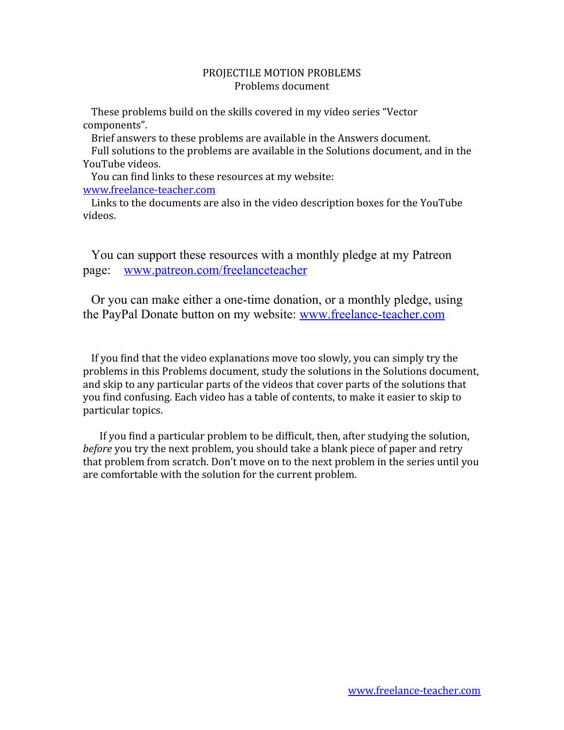## PROJECTILE MOTION PROBLEMS Problems document

These problems build on the skills covered in my video series "Vector components".

Brief answers to these problems are available in the Answers document. Full solutions to the problems are available in the Solutions document, and in the YouTube videos.

You can find links to these resources at my website: [www.freelance-teacher.com](http://www.freelance-teacher.com/videos.html)

Links to the documents are also in the video description boxes for the YouTube videos.

You can support these resources with a monthly pledge at my Patreon page: [www.patreon.com/freelanceteacher](http://www.patreon.com/freelanceteacher)

Or you can make either a one-time donation, or a monthly pledge, using the PayPal Donate button on my website: [www.freelance-teacher.com](http://www.freelance-teacher.com/)

If you find that the video explanations move too slowly, you can simply try the problems in this Problems document, study the solutions in the Solutions document, and skip to any particular parts of the videos that cover parts of the solutions that you find confusing. Each video has a table of contents, to make it easier to skip to particular topics.

If you find a particular problem to be difficult, then, after studying the solution, *before* you try the next problem, you should take a blank piece of paper and retry that problem from scratch. Don't move on to the next problem in the series until you are comfortable with the solution for the current problem.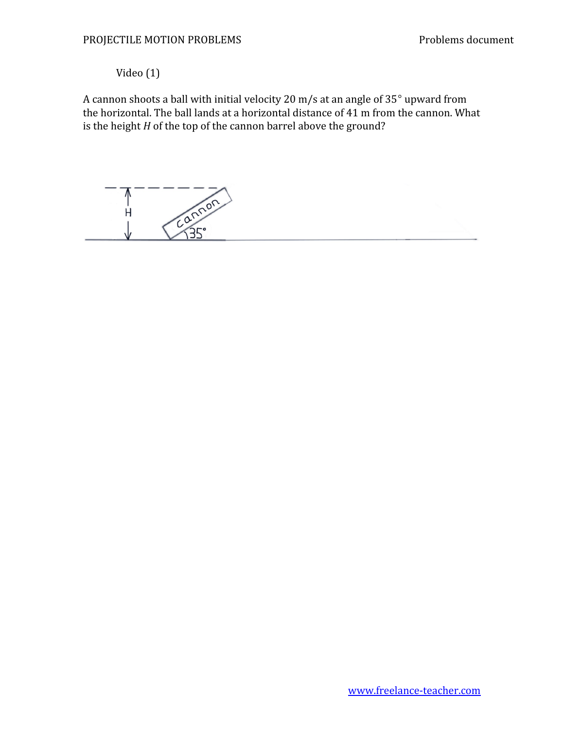## Video (1)

A cannon shoots a ball with initial velocity 20 m/s at an angle of 35° upward from the horizontal. The ball lands at a horizontal distance of 41 m from the cannon. What is the height *H* of the top of the cannon barrel above the ground?

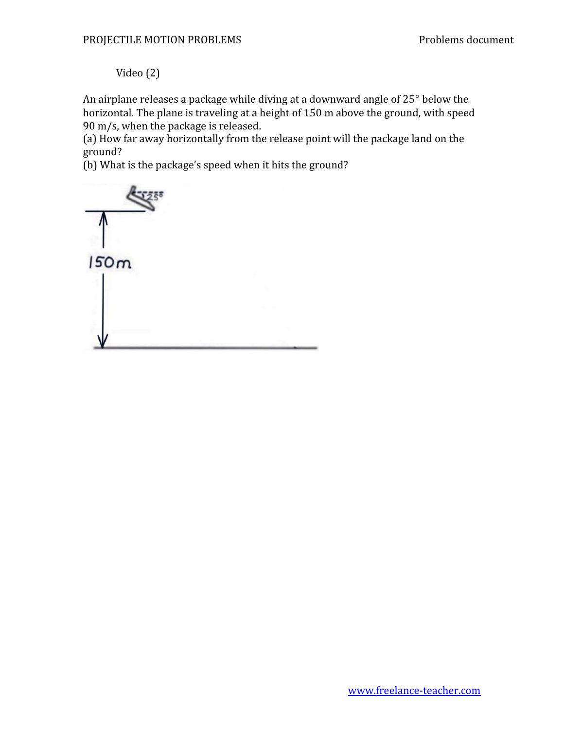Video (2)

An airplane releases a package while diving at a downward angle of 25° below the horizontal. The plane is traveling at a height of 150 m above the ground, with speed 90 m/s, when the package is released.

(a) How far away horizontally from the release point will the package land on the ground?

(b) What is the package's speed when it hits the ground?

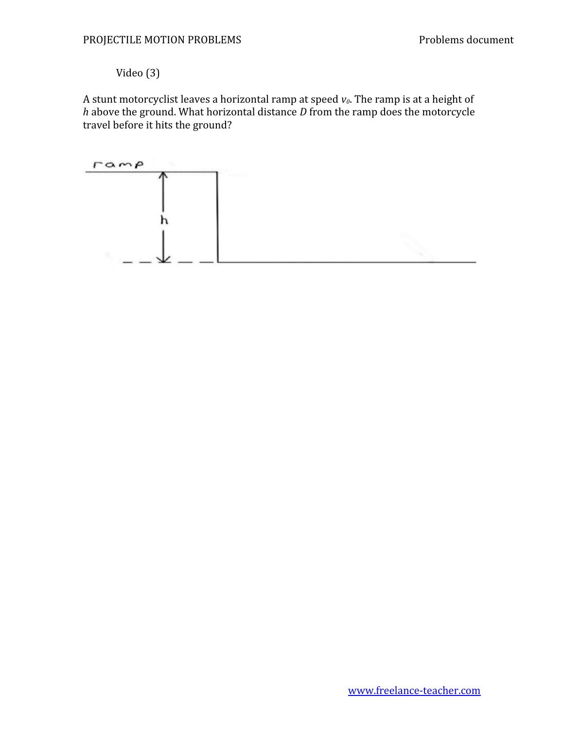## Video (3)

A stunt motorcyclist leaves a horizontal ramp at speed *v0*. The ramp is at a height of *h* above the ground. What horizontal distance *D* from the ramp does the motorcycle travel before it hits the ground?